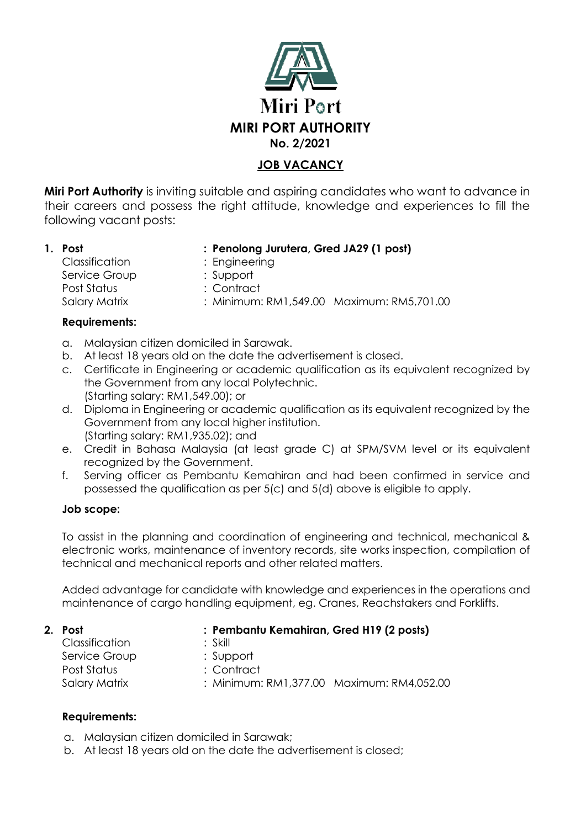

# **JOB VACANCY**

**Miri Port Authority** is inviting suitable and aspiring candidates who want to advance in their careers and possess the right attitude, knowledge and experiences to fill the following vacant posts:

**1. Post : Penolong Jurutera, Gred JA29 (1 post)**

Classification : Engineering Service Group : Support Post Status : Contract

Salary Matrix : Minimum: RM1,549.00 Maximum: RM5,701.00

### **Requirements:**

- a. Malaysian citizen domiciled in Sarawak.
- b. At least 18 years old on the date the advertisement is closed.
- c. Certificate in Engineering or academic qualification as its equivalent recognized by the Government from any local Polytechnic. (Starting salary: RM1,549.00); or
- d. Diploma in Engineering or academic qualification as its equivalent recognized by the Government from any local higher institution. (Starting salary: RM1,935.02); and
- e. Credit in Bahasa Malaysia (at least grade C) at SPM/SVM level or its equivalent recognized by the Government.
- f. Serving officer as Pembantu Kemahiran and had been confirmed in service and possessed the qualification as per 5(c) and 5(d) above is eligible to apply.

## **Job scope:**

To assist in the planning and coordination of engineering and technical, mechanical & electronic works, maintenance of inventory records, site works inspection, compilation of technical and mechanical reports and other related matters.

Added advantage for candidate with knowledge and experiences in the operations and maintenance of cargo handling equipment, eg. Cranes, Reachstakers and Forklifts.

| 2. Post        | : Pembantu Kemahiran, Gred H19 (2 posts)  |
|----------------|-------------------------------------------|
| Classification | : Skill                                   |
| Service Group  | : Support                                 |
| Post Status    | : Contract                                |
| Salary Matrix  | : Minimum: RM1,377.00 Maximum: RM4,052.00 |

## **Requirements:**

- a. Malaysian citizen domiciled in Sarawak;
- b. At least 18 years old on the date the advertisement is closed;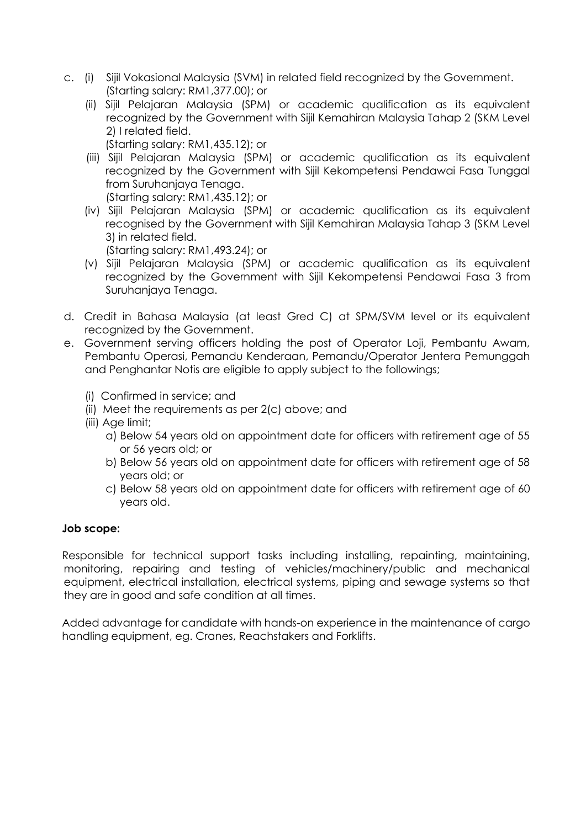- c. (i) Sijil Vokasional Malaysia (SVM) in related field recognized by the Government. (Starting salary: RM1,377.00); or
	- (ii) Sijil Pelajaran Malaysia (SPM) or academic qualification as its equivalent recognized by the Government with Sijil Kemahiran Malaysia Tahap 2 (SKM Level 2) I related field.
		- (Starting salary: RM1,435.12); or
	- (iii) Sijil Pelajaran Malaysia (SPM) or academic qualification as its equivalent recognized by the Government with Sijil Kekompetensi Pendawai Fasa Tunggal from Suruhanjaya Tenaga.

(Starting salary: RM1,435.12); or

(iv) Sijil Pelajaran Malaysia (SPM) or academic qualification as its equivalent recognised by the Government with Sijil Kemahiran Malaysia Tahap 3 (SKM Level 3) in related field.

(Starting salary: RM1,493.24); or

- (v) Sijil Pelajaran Malaysia (SPM) or academic qualification as its equivalent recognized by the Government with Sijil Kekompetensi Pendawai Fasa 3 from Suruhanjaya Tenaga.
- d. Credit in Bahasa Malaysia (at least Gred C) at SPM/SVM level or its equivalent recognized by the Government.
- e. Government serving officers holding the post of Operator Loji, Pembantu Awam, Pembantu Operasi, Pemandu Kenderaan, Pemandu/Operator Jentera Pemunggah and Penghantar Notis are eligible to apply subject to the followings;
	- (i) Confirmed in service; and
	- (ii) Meet the requirements as per 2(c) above; and
	- (iii) Age limit;
		- a) Below 54 years old on appointment date for officers with retirement age of 55 or 56 years old; or
		- b) Below 56 years old on appointment date for officers with retirement age of 58 years old; or
		- c) Below 58 years old on appointment date for officers with retirement age of 60 years old.

#### **Job scope:**

Responsible for technical support tasks including installing, repainting, maintaining, monitoring, repairing and testing of vehicles/machinery/public and mechanical equipment, electrical installation, electrical systems, piping and sewage systems so that they are in good and safe condition at all times.

Added advantage for candidate with hands-on experience in the maintenance of cargo handling equipment, eg. Cranes, Reachstakers and Forklifts.